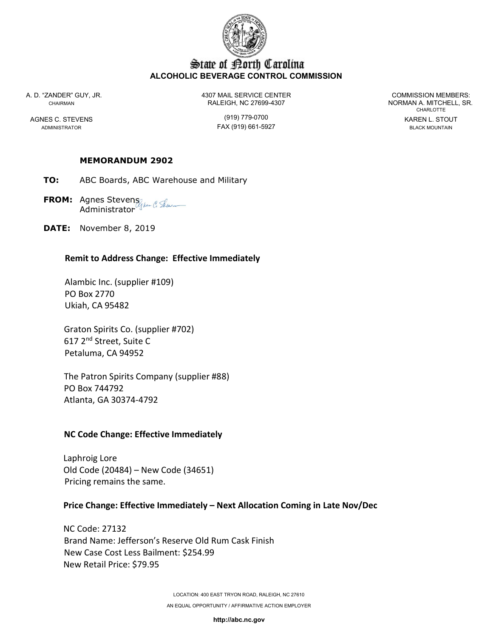

## State of Borth Carolina ALCOHOLIC BEVERAGE CONTROL COMMISSION

A. D. "ZANDER" GUY, JR. 4307 MAIL SERVICE CENTER COMMISSION MEMBERS: CHAIRMAN RALEIGH, NC 27699-4307 NORMAN A. MITCHELL, SR.

ADMINISTRATOR FAX (919) 661-5927 BLACK MOUNTAIN

CHARLOTTE AGNES C. STEVENS (919) 779-0700 KAREN L. STOUT

### MEMORANDUM 2902

- TO: ABC Boards, ABC Warehouse and Military
- FROM: Agnes Stevens (1) fex (1) September **Administrator**
- DATE: November 8, 2019

### Remit to Address Change: Effective Immediately

 Alambic Inc. (supplier #109) PO Box 2770 Ukiah, CA 95482

 Graton Spirits Co. (supplier #702) 617 2nd Street, Suite C Petaluma, CA 94952

 The Patron Spirits Company (supplier #88) PO Box 744792 Atlanta, GA 30374-4792

## NC Code Change: Effective Immediately

 Laphroig Lore Old Code (20484) – New Code (34651) Pricing remains the same.

## Price Change: Effective Immediately – Next Allocation Coming in Late Nov/Dec

 NC Code: 27132 Brand Name: Jefferson's Reserve Old Rum Cask Finish New Case Cost Less Bailment: \$254.99 New Retail Price: \$79.95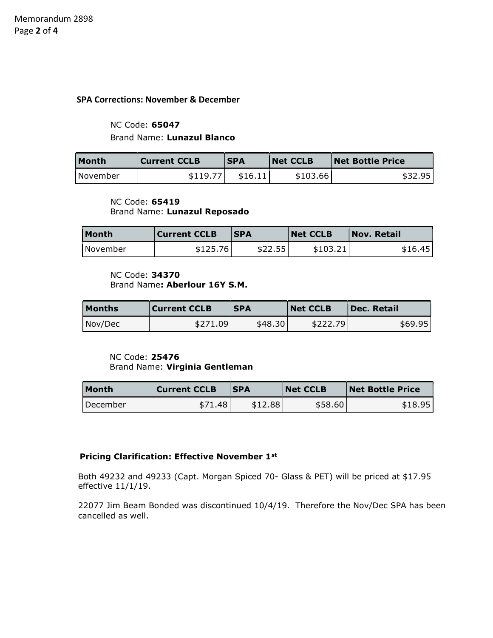#### SPA Corrections: November & December

## NC Code: 65047 Brand Name: Lunazul Blanco

| <b>Month</b> | Current CCLB | <b>SPA</b> | <b>Net CCLB</b> | <b>Net Bottle Price</b> |
|--------------|--------------|------------|-----------------|-------------------------|
| l November   | \$119.77     | \$16.11    | \$103.66        | \$32.95                 |

#### NC Code: 65419 Brand Name: Lunazul Reposado

| Month    | <b>Current CCLB</b> | <b>ISPA</b> | <b>Net CCLB</b> | $\mathsf{Nov}$ . Retail |
|----------|---------------------|-------------|-----------------|-------------------------|
| November | \$125.76            | \$22.55     | \$103.21        | \$16.45                 |

# NC Code: 34370

Brand Name: Aberlour 16Y S.M.

| <b>Months</b> | Current CCLB | <b>SPA</b> | <b>Net CCLB</b> | <b>Dec. Retail</b> |
|---------------|--------------|------------|-----------------|--------------------|
| Nov/Dec       | \$271.09     | \$48.30    | \$222.79        | \$69.95            |

#### NC Code: 25476 Brand Name: Virginia Gentleman

| Month    | <b>Current CCLB</b> | <b>SPA</b> | <b>Net CCLB</b> | <b>Net Bottle Price</b> |
|----------|---------------------|------------|-----------------|-------------------------|
| December | \$71.48             | \$12.88    | \$58.60         | \$18.95                 |

#### Pricing Clarification: Effective November 1<sup>st</sup>

Both 49232 and 49233 (Capt. Morgan Spiced 70- Glass & PET) will be priced at \$17.95 effective 11/1/19.

22077 Jim Beam Bonded was discontinued 10/4/19. Therefore the Nov/Dec SPA has been cancelled as well.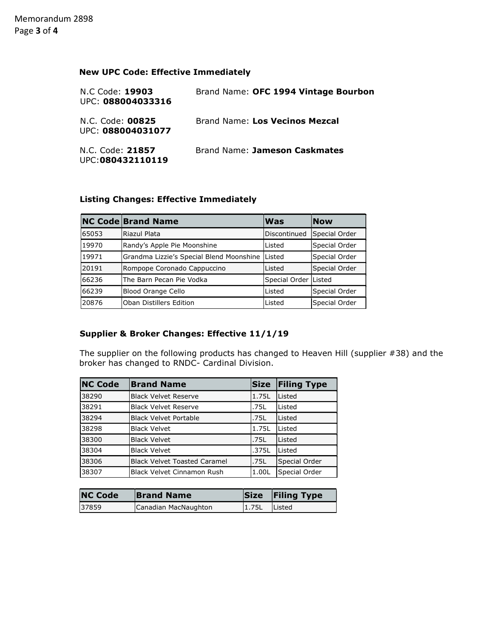## New UPC Code: Effective Immediately

| N.C Code: 19903<br>UPC: 088004033316  | Brand Name: OFC 1994 Vintage Bourbon |
|---------------------------------------|--------------------------------------|
| N.C. Code: 00825<br>UPC: 088004031077 | Brand Name: Los Vecinos Mezcal       |
| N.C. Code: 21857<br>UPC:080432110119  | Brand Name: Jameson Caskmates        |

## Listing Changes: Effective Immediately

|       | <b>NC Code Brand Name</b>                | <b>Was</b>             | <b>Now</b>    |
|-------|------------------------------------------|------------------------|---------------|
| 65053 | Riazul Plata                             | Discontinued           | Special Order |
| 19970 | Randy's Apple Pie Moonshine              | Listed                 | Special Order |
| 19971 | Grandma Lizzie's Special Blend Moonshine | Listed                 | Special Order |
| 20191 | Rompope Coronado Cappuccino              | Listed                 | Special Order |
| 66236 | The Barn Pecan Pie Vodka                 | Special Order   Listed |               |
| 66239 | <b>Blood Orange Cello</b>                | Listed                 | Special Order |
| 20876 | Oban Distillers Edition                  | Listed                 | Special Order |

## Supplier & Broker Changes: Effective 11/1/19

The supplier on the following products has changed to Heaven Hill (supplier #38) and the broker has changed to RNDC- Cardinal Division.

| <b>NC Code</b> | <b>Brand Name</b>                   | <b>Size</b> | <b>Filing Type</b> |
|----------------|-------------------------------------|-------------|--------------------|
| 38290          | <b>Black Velvet Reserve</b>         | 1.75L       | Listed             |
| 38291          | <b>Black Velvet Reserve</b>         | .75L        | Listed             |
| 38294          | <b>Black Velvet Portable</b>        | .75L        | Listed             |
| 38298          | <b>Black Velvet</b>                 | 1.75L       | Listed             |
| 38300          | <b>Black Velvet</b>                 | .75L        | Listed             |
| 38304          | <b>Black Velvet</b>                 | .375L       | Listed             |
| 38306          | <b>Black Velvet Toasted Caramel</b> | .75L        | Special Order      |
| 38307          | Black Velvet Cinnamon Rush          | 1.00L       | Special Order      |

| <b>NC Code</b> | <b>Brand Name</b>    |       | Size Filing Type |
|----------------|----------------------|-------|------------------|
| 37859          | Canadian MacNaughton | 1.75L | Listed           |